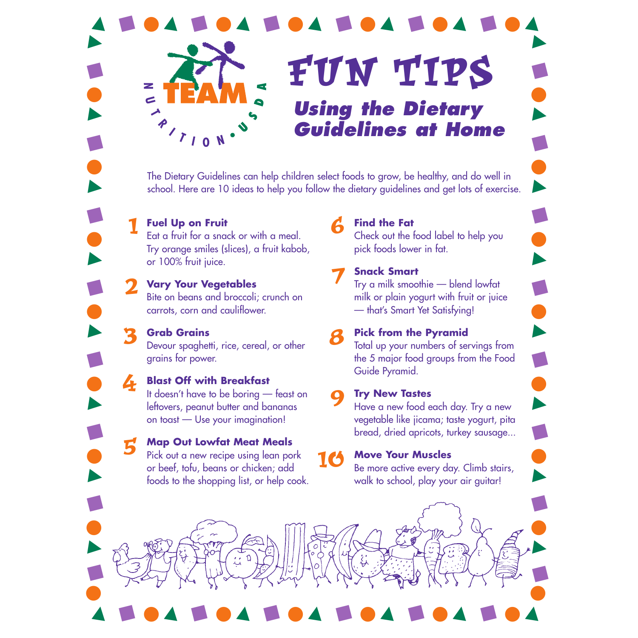3

■



The Dietary Guidelines can help children select foods to grow, be healthy, and do well in school. Here are 10 ideas to help you follow the dietary guidelines and get lots of exercise.

**Fuel Up on Fruit**  $\sum$  Fuel Up on Fruit<br>Eat a fruit for a snack or with a meal. Try orange smiles (slices), a fruit kabob, or 100% fruit juice.

### **Vary Your Vegetables** 2

Bite on beans and broccoli; crunch on carrots, corn and cauliflower.

**Grab Grains** Devour spaghetti, rice, cereal, or other grains for power.

#### **Blast Off with Breakfast** It doesn't have to be boring — feast on 4

leftovers, peanut butter and bananas on toast — Use your imagination!

### **Map Out Lowfat Meat Meals** 5

Pick out a new recipe using lean pork or beef, tofu, beans or chicken; add foods to the shopping list, or help cook.

■ ■ ■ ■

### **Find the Fat**

Check out the food label to help you pick foods lower in fat.

■

▲

■

▲

■

▲

■

●●●●●●

▲

■

▲

■

▲

▲

■

●

■

▲

●

# 7

**Snack Smart**

Try a milk smoothie — blend lowfat milk or plain yogurt with fruit or juice — that's Smart Yet Satisfying!

### **Pick from the Pyramid** 8

Total up your numbers of servings from the 5 major food groups from the Food Guide Pyramid.

### **Try New Tastes** 9

Have a new food each day. Try a new vegetable like jicama; taste yogurt, pita bread, dried apricots, turkey sausage...

## 10

**●●●●●●●●●●●●●●●●**●●●

### **Move Your Muscles**

Be more active every day. Climb stairs, walk to school, play your air guitar!